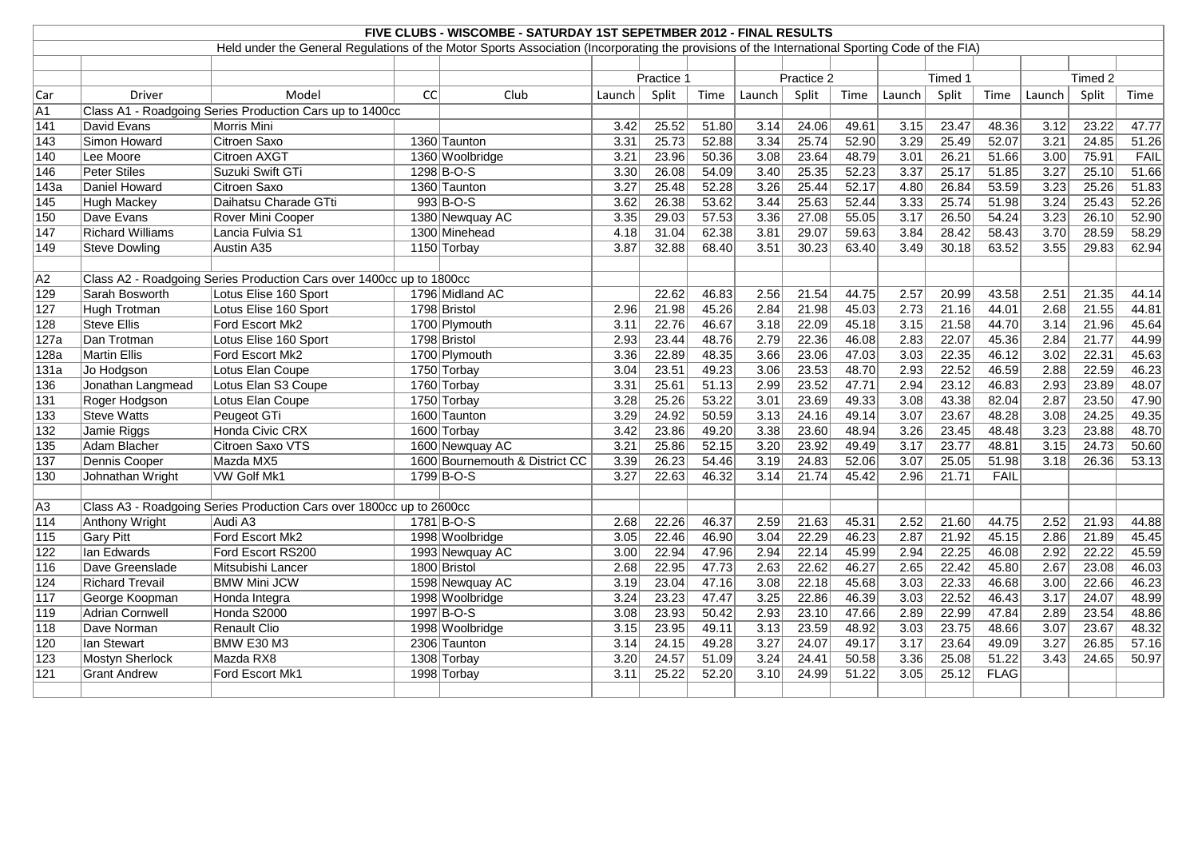| FIVE CLUBS - WISCOMBE - SATURDAY 1ST SEPETMBER 2012 - FINAL RESULTS |                         |                                                                                                                                                 |    |                                |            |       |       |                   |       |       |                |         |             |                   |         |       |
|---------------------------------------------------------------------|-------------------------|-------------------------------------------------------------------------------------------------------------------------------------------------|----|--------------------------------|------------|-------|-------|-------------------|-------|-------|----------------|---------|-------------|-------------------|---------|-------|
|                                                                     |                         | Held under the General Regulations of the Motor Sports Association (Incorporating the provisions of the International Sporting Code of the FIA) |    |                                |            |       |       |                   |       |       |                |         |             |                   |         |       |
|                                                                     |                         |                                                                                                                                                 |    |                                |            |       |       |                   |       |       |                |         |             |                   |         |       |
|                                                                     |                         |                                                                                                                                                 |    |                                | Practice 1 |       |       | Practice 2        |       |       |                | Timed 1 |             |                   | Timed 2 |       |
| Car                                                                 | Driver                  | Model                                                                                                                                           | CC | Club                           | Launch     | Split | Time  | Launch            | Split | Time  | Launch         | Split   | Time        | Launch            | Split   | Time  |
| A <sub>1</sub>                                                      |                         | Class A1 - Roadgoing Series Production Cars up to 1400cc                                                                                        |    |                                |            |       |       |                   |       |       |                |         |             |                   |         |       |
| 141                                                                 | David Evans             | Morris Mini                                                                                                                                     |    |                                | 3.42       | 25.52 | 51.80 | 3.14              | 24.06 | 49.61 | 3.15           | 23.47   | 48.36       | 3.12              | 23.22   | 47.77 |
| 143                                                                 | Simon Howard            | Citroen Saxo                                                                                                                                    |    | 1360 Taunton                   | 3.31       | 25.73 | 52.88 | 3.34              | 25.74 | 52.90 | 3.29           | 25.49   | 52.07       | 3.21              | 24.85   | 51.26 |
| 140                                                                 | Lee Moore               | Citroen AXGT                                                                                                                                    |    | 1360 Woolbridge                | 3.21       | 23.96 | 50.36 | 3.08              | 23.64 | 48.79 | 3.01           | 26.21   | 51.66       | 3.00              | 75.91   | FAIL  |
| 146                                                                 | Peter Stiles            | Suzuki Swift GTi                                                                                                                                |    | 1298 B-O-S                     | 3.30       | 26.08 | 54.09 | 3.40              | 25.35 | 52.23 | 3.37           | 25.17   | 51.85       | 3.27              | 25.10   | 51.66 |
| 143a                                                                | Daniel Howard           | <b>Citroen Saxo</b>                                                                                                                             |    | 1360 Taunton                   | 3.27       | 25.48 | 52.28 | 3.26              | 25.44 | 52.17 | 4.80           | 26.84   | 53.59       | 3.23              | 25.26   | 51.83 |
| 145                                                                 | Hugh Mackey             | Daihatsu Charade GTti                                                                                                                           |    | $993 B-O-S$                    | 3.62       | 26.38 | 53.62 | 3.44              | 25.63 | 52.44 | $\boxed{3.33}$ | 25.74   | 51.98       | 3.24              | 25.43   | 52.26 |
| 150                                                                 | Dave Evans              | Rover Mini Cooper                                                                                                                               |    | 1380 Newquay AC                | 3.35       | 29.03 | 57.53 | 3.36              | 27.08 | 55.05 | 3.17           | 26.50   | 54.24       | 3.23              | 26.10   | 52.90 |
| 147                                                                 | <b>Richard Williams</b> | Lancia Fulvia S1                                                                                                                                |    | 1300 Minehead                  | 4.18       | 31.04 | 62.38 | 3.81              | 29.07 | 59.63 | 3.84           | 28.42   | 58.43       | 3.70              | 28.59   | 58.29 |
| 149                                                                 | <b>Steve Dowling</b>    | Austin A35                                                                                                                                      |    | 1150 Torbay                    | 3.87       | 32.88 | 68.40 | 3.51              | 30.23 | 63.40 | 3.49           | 30.18   | 63.52       | 3.55              | 29.83   | 62.94 |
|                                                                     |                         |                                                                                                                                                 |    |                                |            |       |       |                   |       |       |                |         |             |                   |         |       |
| A2                                                                  |                         | Class A2 - Roadgoing Series Production Cars over 1400cc up to 1800cc                                                                            |    |                                |            |       |       |                   |       |       |                |         |             |                   |         |       |
| 129                                                                 | Sarah Bosworth          | Lotus Elise 160 Sport                                                                                                                           |    | 1796 Midland AC                |            | 22.62 | 46.83 | 2.56              | 21.54 | 44.75 | 2.57           | 20.99   | 43.58       | 2.51              | 21.35   | 44.14 |
| 127                                                                 | Hugh Trotman            | Lotus Elise 160 Sport                                                                                                                           |    | 1798 Bristol                   | 2.96       | 21.98 | 45.26 | 2.84              | 21.98 | 45.03 | 2.73           | 21.16   | 44.01       | 2.68              | 21.55   | 44.81 |
| 128                                                                 | <b>Steve Ellis</b>      | Ford Escort Mk2                                                                                                                                 |    | 1700 Plymouth                  | 3.11       | 22.76 | 46.67 | 3.18              | 22.09 | 45.18 | 3.15           | 21.58   | 44.70       | 3.14              | 21.96   | 45.64 |
| 127a                                                                | Dan Trotman             | Lotus Elise 160 Sport                                                                                                                           |    | 1798 Bristol                   | 2.93       | 23.44 | 48.76 | 2.79              | 22.36 | 46.08 | 2.83           | 22.07   | 45.36       | 2.84              | 21.77   | 44.99 |
| 128a                                                                | <b>Martin Ellis</b>     | <b>Ford Escort Mk2</b>                                                                                                                          |    | 1700 Plymouth                  | 3.36       | 22.89 | 48.35 | 3.66              | 23.06 | 47.03 | 3.03           | 22.35   | 46.12       | 3.02              | 22.31   | 45.63 |
| 131a                                                                | Jo Hodgson              | Lotus Elan Coupe                                                                                                                                |    | 1750 Torbay                    | 3.04       | 23.51 | 49.23 | 3.06              | 23.53 | 48.70 | 2.93           | 22.52   | 46.59       | 2.88              | 22.59   | 46.23 |
| 136                                                                 | Jonathan Langmead       | Lotus Elan S3 Coupe                                                                                                                             |    | 1760 Torbay                    | 3.31       | 25.61 | 51.13 | 2.99              | 23.52 | 47.71 | 2.94           | 23.12   | 46.83       | 2.93              | 23.89   | 48.07 |
| 131                                                                 | Roger Hodgson           | Lotus Elan Coupe                                                                                                                                |    | 1750 Torbay                    | 3.28       | 25.26 | 53.22 | 3.01              | 23.69 | 49.33 | 3.08           | 43.38   | 82.04       | 2.87              | 23.50   | 47.90 |
| 133                                                                 | Steve Watts             | Peugeot GTi                                                                                                                                     |    | 1600 Taunton                   | 3.29       | 24.92 | 50.59 | 3.13              | 24.16 | 49.14 | 3.07           | 23.67   | 48.28       | 3.08              | 24.25   | 49.35 |
| 132                                                                 | Jamie Riggs             | Honda Civic CRX                                                                                                                                 |    | 1600 Torbay                    | 3.42       | 23.86 | 49.20 | 3.38              | 23.60 | 48.94 | 3.26           | 23.45   | 48.48       | 3.23              | 23.88   | 48.70 |
| 135                                                                 | Adam Blacher            | Citroen Saxo VTS                                                                                                                                |    | 1600 Newquay AC                | 3.21       | 25.86 | 52.15 | 3.20              | 23.92 | 49.49 | 3.17           | 23.77   | 48.81       | 3.15              | 24.73   | 50.60 |
| 137                                                                 | Dennis Cooper           | Mazda MX5                                                                                                                                       |    | 1600 Bournemouth & District CC | 3.39       | 26.23 | 54.46 | 3.19              | 24.83 | 52.06 | 3.07           | 25.05   | 51.98       | 3.18              | 26.36   | 53.13 |
| 130                                                                 | Johnathan Wright        | VW Golf Mk1                                                                                                                                     |    | 1799 B-O-S                     | 3.27       | 22.63 | 46.32 | 3.14              | 21.74 | 45.42 | 2.96           | 21.71   | <b>FAIL</b> |                   |         |       |
|                                                                     |                         |                                                                                                                                                 |    |                                |            |       |       |                   |       |       |                |         |             |                   |         |       |
| A <sub>3</sub>                                                      |                         | Class A3 - Roadgoing Series Production Cars over 1800cc up to 2600cc                                                                            |    |                                |            |       |       |                   |       |       |                |         |             |                   |         |       |
| 114                                                                 | Anthony Wright          | Audi A3                                                                                                                                         |    | 1781 B-O-S                     | 2.68       | 22.26 | 46.37 | 2.59              | 21.63 | 45.31 | 2.52           | 21.60   | 44.75       | 2.52              | 21.93   | 44.88 |
| 115                                                                 | <b>Gary Pitt</b>        | Ford Escort Mk2                                                                                                                                 |    | 1998 Woolbridge                | 3.05       | 22.46 | 46.90 | 3.04              | 22.29 | 46.23 | 2.87           | 21.92   | 45.15       | 2.86              | 21.89   | 45.45 |
| 122                                                                 | Ian Edwards             | Ford Escort RS200                                                                                                                               |    | 1993 Newquay AC                | 3.00       | 22.94 | 47.96 | 2.94              | 22.14 | 45.99 | 2.94           | 22.25   | 46.08       | 2.92              | 22.22   | 45.59 |
| $\overline{116}$                                                    | Dave Greenslade         | Mitsubishi Lancer                                                                                                                               |    | 1800 Bristol                   | 2.68       | 22.95 | 47.73 | $\overline{2.63}$ | 22.62 | 46.27 | 2.65           | 22.42   | 45.80       | $\overline{2.67}$ | 23.08   | 46.03 |
| 124                                                                 | Richard Trevail         | <b>BMW Mini JCW</b>                                                                                                                             |    | 1598 Newquay AC                | 3.19       | 23.04 | 47.16 | 3.08              | 22.18 | 45.68 | 3.03           | 22.33   | 46.68       | 3.00              | 22.66   | 46.23 |
| 117                                                                 | George Koopman          | Honda Integra                                                                                                                                   |    | 1998 Woolbridge                | 3.24       | 23.23 | 47.47 | 3.25              | 22.86 | 46.39 | 3.03           | 22.52   | 46.43       | 3.17              | 24.07   | 48.99 |
| 119                                                                 | Adrian Cornwell         | Honda S2000                                                                                                                                     |    | 1997 B-O-S                     | 3.08       | 23.93 | 50.42 | 2.93              | 23.10 | 47.66 | 2.89           | 22.99   | 47.84       | 2.89              | 23.54   | 48.86 |
| 118                                                                 | Dave Norman             | Renault Clio                                                                                                                                    |    | 1998 Woolbridge                | 3.15       | 23.95 | 49.11 | 3.13              | 23.59 | 48.92 | 3.03           | 23.75   | 48.66       | 3.07              | 23.67   | 48.32 |
| 120                                                                 | Ian Stewart             | BMW E30 M3                                                                                                                                      |    | 2306 Taunton                   | 3.14       | 24.15 | 49.28 | 3.27              | 24.07 | 49.17 | 3.17           | 23.64   | 49.09       | 3.27              | 26.85   | 57.16 |
| 123                                                                 | Mostyn Sherlock         | Mazda RX8                                                                                                                                       |    | 1308 Torbay                    | 3.20       | 24.57 | 51.09 | 3.24              | 24.41 | 50.58 | 3.36           | 25.08   | 51.22       | 3.43              | 24.65   | 50.97 |
| 121                                                                 | <b>Grant Andrew</b>     | Ford Escort Mk1                                                                                                                                 |    | 1998 Torbay                    | 3.11       | 25.22 | 52.20 | 3.10              | 24.99 | 51.22 | 3.05           | 25.12   | <b>FLAG</b> |                   |         |       |
|                                                                     |                         |                                                                                                                                                 |    |                                |            |       |       |                   |       |       |                |         |             |                   |         |       |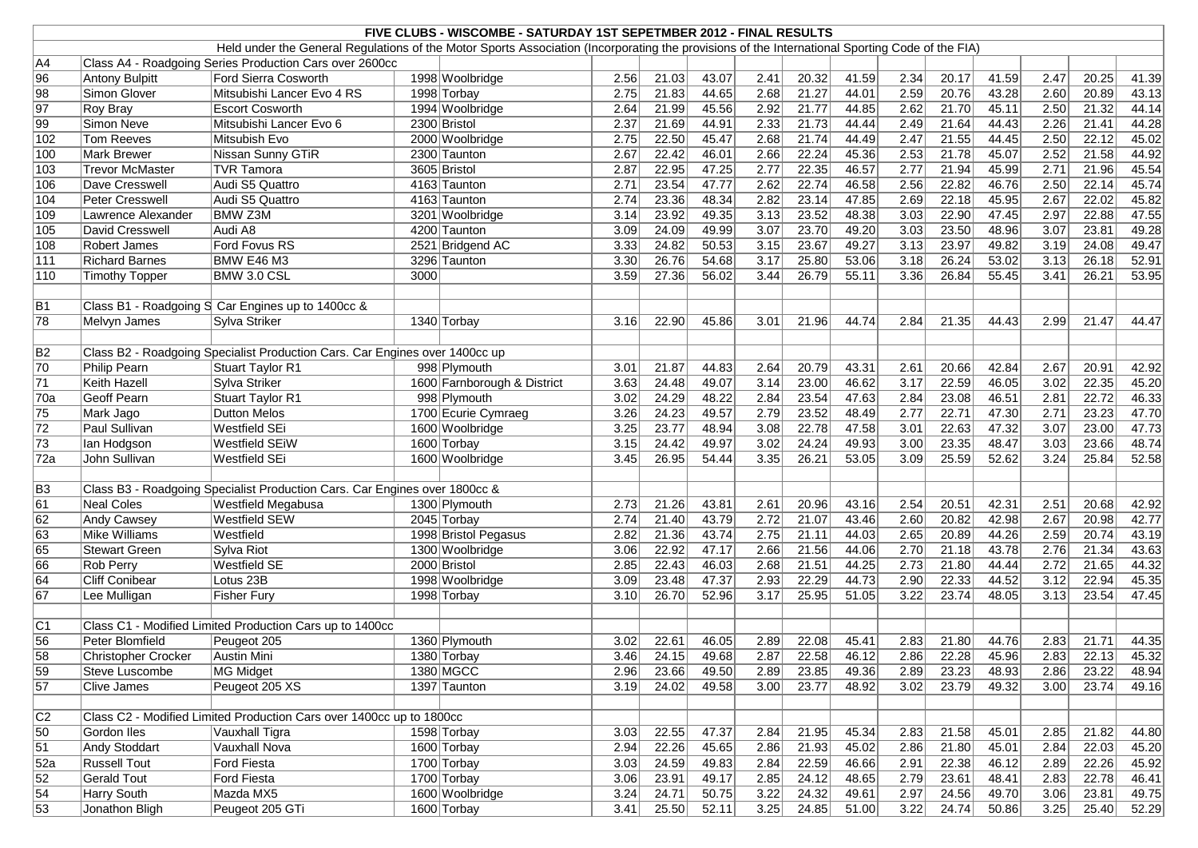| FIVE CLUBS - WISCOMBE - SATURDAY 1ST SEPETMBER 2012 - FINAL RESULTS                                                                             |                            |                                                                             |      |                             |      |       |       |      |       |       |                   |       |       |                   |       |       |
|-------------------------------------------------------------------------------------------------------------------------------------------------|----------------------------|-----------------------------------------------------------------------------|------|-----------------------------|------|-------|-------|------|-------|-------|-------------------|-------|-------|-------------------|-------|-------|
| Held under the General Regulations of the Motor Sports Association (Incorporating the provisions of the International Sporting Code of the FIA) |                            |                                                                             |      |                             |      |       |       |      |       |       |                   |       |       |                   |       |       |
| A4                                                                                                                                              |                            | Class A4 - Roadgoing Series Production Cars over 2600cc                     |      |                             |      |       |       |      |       |       |                   |       |       |                   |       |       |
| $\overline{\smash{96}}$                                                                                                                         | <b>Antony Bulpitt</b>      | <b>Ford Sierra Cosworth</b>                                                 |      | 1998 Woolbridge             | 2.56 | 21.03 | 43.07 | 2.41 | 20.32 | 41.59 | 2.34              | 20.17 | 41.59 | 2.47              | 20.25 | 41.39 |
| 98                                                                                                                                              | Simon Glover               | Mitsubishi Lancer Evo 4 RS                                                  |      | 1998 Torbay                 | 2.75 | 21.83 | 44.65 | 2.68 | 21.27 | 44.01 | 2.59              | 20.76 | 43.28 | 2.60              | 20.89 | 43.13 |
| $\overline{97}$                                                                                                                                 | Roy Bray                   | <b>Escort Cosworth</b>                                                      |      | 1994 Woolbridge             | 2.64 | 21.99 | 45.56 | 2.92 | 21.77 | 44.85 | 2.62              | 21.70 | 45.11 | 2.50              | 21.32 | 44.14 |
| 99                                                                                                                                              | Simon Neve                 | Mitsubishi Lancer Evo 6                                                     |      | 2300 Bristol                | 2.37 | 21.69 | 44.91 | 2.33 | 21.73 | 44.44 | 2.49              | 21.64 | 44.43 | 2.26              | 21.41 | 44.28 |
| 102                                                                                                                                             | <b>Tom Reeves</b>          | Mitsubish Evo                                                               |      | 2000 Woolbridge             | 2.75 | 22.50 | 45.47 | 2.68 | 21.74 | 44.49 | 2.47              | 21.55 | 44.45 | 2.50              | 22.12 | 45.02 |
| 100                                                                                                                                             | <b>Mark Brewer</b>         | Nissan Sunny GTiR                                                           |      | 2300 Taunton                | 2.67 | 22.42 | 46.01 | 2.66 | 22.24 | 45.36 | 2.53              | 21.78 | 45.07 | 2.52              | 21.58 | 44.92 |
| 103                                                                                                                                             | <b>Trevor McMaster</b>     | <b>TVR Tamora</b>                                                           |      | 3605 Bristol                | 2.87 | 22.95 | 47.25 | 2.77 | 22.35 | 46.57 | 2.77              | 21.94 | 45.99 | 2.71              | 21.96 | 45.54 |
| 106                                                                                                                                             | Dave Cresswell             | Audi S5 Quattro                                                             |      | 4163 Taunton                | 2.71 | 23.54 | 47.77 | 2.62 | 22.74 | 46.58 | 2.56              | 22.82 | 46.76 | 2.50              | 22.14 | 45.74 |
| 104                                                                                                                                             | <b>Peter Cresswell</b>     | Audi S5 Quattro                                                             |      | 4163 Taunton                | 2.74 | 23.36 | 48.34 | 2.82 | 23.14 | 47.85 | 2.69              | 22.18 | 45.95 | 2.67              | 22.02 | 45.82 |
| 109                                                                                                                                             | Lawrence Alexander         | <b>BMW Z3M</b>                                                              |      | 3201 Woolbridge             | 3.14 | 23.92 | 49.35 | 3.13 | 23.52 | 48.38 | 3.03              | 22.90 | 47.45 | 2.97              | 22.88 | 47.55 |
| 105                                                                                                                                             | David Cresswell            | Audi A8                                                                     |      | 4200 Taunton                | 3.09 | 24.09 | 49.99 | 3.07 | 23.70 | 49.20 | 3.03              | 23.50 | 48.96 | 3.07              | 23.81 | 49.28 |
| 108                                                                                                                                             | Robert James               | Ford Fovus RS                                                               |      | 2521 Bridgend AC            | 3.33 | 24.82 | 50.53 | 3.15 | 23.67 | 49.27 | 3.13              | 23.97 | 49.82 | 3.19              | 24.08 | 49.47 |
| 111                                                                                                                                             | <b>Richard Barnes</b>      | BMW E46 M3                                                                  |      | 3296 Taunton                | 3.30 | 26.76 | 54.68 | 3.17 | 25.80 | 53.06 | 3.18              | 26.24 | 53.02 | 3.13              | 26.18 | 52.91 |
| 110                                                                                                                                             | <b>Timothy Topper</b>      | BMW 3.0 CSL                                                                 | 3000 |                             | 3.59 | 27.36 | 56.02 | 3.44 | 26.79 | 55.11 | 3.36              | 26.84 | 55.45 | 3.41              | 26.21 | 53.95 |
|                                                                                                                                                 |                            |                                                                             |      |                             |      |       |       |      |       |       |                   |       |       |                   |       |       |
| B1                                                                                                                                              |                            | Class B1 - Roadgoing S Car Engines up to 1400cc &                           |      |                             |      |       |       |      |       |       |                   |       |       |                   |       |       |
| $\overline{78}$                                                                                                                                 | Melvyn James               | Sylva Striker                                                               |      | 1340 Torbay                 | 3.16 | 22.90 | 45.86 | 3.01 | 21.96 | 44.74 | 2.84              | 21.35 | 44.43 | 2.99              | 21.47 | 44.47 |
|                                                                                                                                                 |                            |                                                                             |      |                             |      |       |       |      |       |       |                   |       |       |                   |       |       |
| $\overline{B2}$                                                                                                                                 |                            | Class B2 - Roadgoing Specialist Production Cars. Car Engines over 1400cc up |      |                             |      |       |       |      |       |       |                   |       |       |                   |       |       |
| 70                                                                                                                                              | Philip Pearn               | Stuart Taylor R1                                                            |      | 998 Plymouth                | 3.01 | 21.87 | 44.83 | 2.64 | 20.79 | 43.31 | 2.61              | 20.66 | 42.84 | 2.67              | 20.91 | 42.92 |
| 71                                                                                                                                              | Keith Hazell               | Sylva Striker                                                               |      | 1600 Farnborough & District | 3.63 | 24.48 | 49.07 | 3.14 | 23.00 | 46.62 | 3.17              | 22.59 | 46.05 | 3.02              | 22.35 | 45.20 |
| 70a                                                                                                                                             | <b>Geoff Pearn</b>         | <b>Stuart Taylor R1</b>                                                     |      | 998 Plymouth                | 3.02 | 24.29 | 48.22 | 2.84 | 23.54 | 47.63 | 2.84              | 23.08 | 46.51 | 2.81              | 22.72 | 46.33 |
| 75                                                                                                                                              | Mark Jago                  | <b>Dutton Melos</b>                                                         |      | 1700 Ecurie Cymraeg         | 3.26 | 24.23 | 49.57 | 2.79 | 23.52 | 48.49 | 2.77              | 22.71 | 47.30 | 2.71              | 23.23 | 47.70 |
| $\overline{72}$                                                                                                                                 | Paul Sullivan              | Westfield SEi                                                               |      | 1600 Woolbridge             | 3.25 | 23.77 | 48.94 | 3.08 | 22.78 | 47.58 | 3.01              | 22.63 | 47.32 | 3.07              | 23.00 | 47.73 |
| $\overline{73}$                                                                                                                                 | lan Hodgson                | <b>Westfield SEiW</b>                                                       |      | 1600 Torbay                 | 3.15 | 24.42 | 49.97 | 3.02 | 24.24 | 49.93 | 3.00              | 23.35 | 48.47 | 3.03              | 23.66 | 48.74 |
| 72a                                                                                                                                             | John Sullivan              | <b>Westfield SEi</b>                                                        |      | 1600 Woolbridge             | 3.45 | 26.95 | 54.44 | 3.35 | 26.21 | 53.05 | 3.09              | 25.59 | 52.62 | 3.24              | 25.84 | 52.58 |
|                                                                                                                                                 |                            |                                                                             |      |                             |      |       |       |      |       |       |                   |       |       |                   |       |       |
| $\overline{B3}$                                                                                                                                 |                            | Class B3 - Roadgoing Specialist Production Cars. Car Engines over 1800cc &  |      |                             |      |       |       |      |       |       |                   |       |       |                   |       |       |
| $\overline{61}$                                                                                                                                 | <b>Neal Coles</b>          | Westfield Megabusa                                                          |      | 1300 Plymouth               | 2.73 | 21.26 | 43.81 | 2.61 | 20.96 | 43.16 | 2.54              | 20.51 | 42.31 | 2.51              | 20.68 | 42.92 |
| $\overline{62}$                                                                                                                                 | <b>Andy Cawsey</b>         | <b>Westfield SEW</b>                                                        |      | 2045 Torbay                 | 2.74 | 21.40 | 43.79 | 2.72 | 21.07 | 43.46 | 2.60              | 20.82 | 42.98 | 2.67              | 20.98 | 42.77 |
| 63                                                                                                                                              | Mike Williams              | Westfield                                                                   |      | 1998 Bristol Pegasus        | 2.82 | 21.36 | 43.74 | 2.75 | 21.11 | 44.03 | 2.65              | 20.89 | 44.26 | 2.59              | 20.74 | 43.19 |
| 65                                                                                                                                              | <b>Stewart Green</b>       | Sylva Riot                                                                  |      | 1300 Woolbridge             | 3.06 | 22.92 | 47.17 | 2.66 | 21.56 | 44.06 | 2.70              | 21.18 | 43.78 | 2.76              | 21.34 | 43.63 |
| 66                                                                                                                                              | <b>Rob Perry</b>           | <b>Westfield SE</b>                                                         |      | 2000 Bristol                | 2.85 | 22.43 | 46.03 | 2.68 | 21.51 | 44.25 | $\overline{2.73}$ | 21.80 | 44.44 | $\overline{2.72}$ | 21.65 | 44.32 |
| $\overline{64}$                                                                                                                                 | <b>Cliff Conibear</b>      | Lotus 23B                                                                   |      | 1998 Woolbridge             | 3.09 | 23.48 | 47.37 | 2.93 | 22.29 | 44.73 | 2.90              | 22.33 | 44.52 | 3.12              | 22.94 | 45.35 |
| $\overline{67}$                                                                                                                                 | Lee Mulligan               | <b>Fisher Fury</b>                                                          |      | 1998 Torbay                 | 3.10 | 26.70 | 52.96 | 3.17 | 25.95 | 51.05 | 3.22              | 23.74 | 48.05 | 3.13              | 23.54 | 47.45 |
|                                                                                                                                                 |                            |                                                                             |      |                             |      |       |       |      |       |       |                   |       |       |                   |       |       |
| C1                                                                                                                                              |                            | Class C1 - Modified Limited Production Cars up to 1400cc                    |      |                             |      |       |       |      |       |       |                   |       |       |                   |       |       |
| $\overline{56}$                                                                                                                                 | Peter Blomfield            | Peugeot 205                                                                 |      | 1360 Plymouth               | 3.02 | 22.61 | 46.05 | 2.89 | 22.08 | 45.41 | 2.83              | 21.80 | 44.76 | 2.83              | 21.71 | 44.35 |
| $\overline{58}$                                                                                                                                 | <b>Christopher Crocker</b> | Austin Mini                                                                 |      | 1380 Torbay                 | 3.46 | 24.15 | 49.68 | 2.87 | 22.58 | 46.12 | 2.86              | 22.28 | 45.96 | 2.83              | 22.13 | 45.32 |
| $\overline{59}$                                                                                                                                 | Steve Luscombe             | MG Midget                                                                   |      | 1380 MGCC                   | 2.96 | 23.66 | 49.50 | 2.89 | 23.85 | 49.36 | 2.89              | 23.23 | 48.93 | 2.86              | 23.22 | 48.94 |
| $\overline{57}$                                                                                                                                 | <b>Clive James</b>         | Peugeot 205 XS                                                              |      | 1397 Taunton                | 3.19 | 24.02 | 49.58 | 3.00 | 23.77 | 48.92 | 3.02              | 23.79 | 49.32 | 3.00              | 23.74 | 49.16 |
|                                                                                                                                                 |                            |                                                                             |      |                             |      |       |       |      |       |       |                   |       |       |                   |       |       |
| C2                                                                                                                                              |                            | Class C2 - Modified Limited Production Cars over 1400cc up to 1800cc        |      |                             |      |       |       |      |       |       |                   |       |       |                   |       |       |
| $\overline{50}$                                                                                                                                 | Gordon Iles                | Vauxhall Tigra                                                              |      | 1598 Torbay                 | 3.03 | 22.55 | 47.37 | 2.84 | 21.95 | 45.34 | 2.83              | 21.58 | 45.01 | 2.85              | 21.82 | 44.80 |
| $\overline{51}$                                                                                                                                 | <b>Andy Stoddart</b>       | Vauxhall Nova                                                               |      | 1600 Torbay                 | 2.94 | 22.26 | 45.65 | 2.86 | 21.93 | 45.02 | 2.86              | 21.80 | 45.01 | 2.84              | 22.03 | 45.20 |
| 52a                                                                                                                                             | <b>Russell Tout</b>        | <b>Ford Fiesta</b>                                                          |      | 1700 Torbay                 | 3.03 | 24.59 | 49.83 | 2.84 | 22.59 | 46.66 | 2.91              | 22.38 | 46.12 | 2.89              | 22.26 | 45.92 |
| $\overline{52}$                                                                                                                                 | <b>Gerald Tout</b>         | <b>Ford Fiesta</b>                                                          |      | 1700 Torbay                 | 3.06 | 23.91 | 49.17 | 2.85 | 24.12 | 48.65 | 2.79              | 23.61 | 48.41 | 2.83              | 22.78 | 46.41 |
| $\sqrt{54}$                                                                                                                                     | <b>Harry South</b>         | Mazda MX5                                                                   |      | 1600 Woolbridge             | 3.24 | 24.71 | 50.75 | 3.22 | 24.32 | 49.61 | 2.97              | 24.56 | 49.70 | 3.06              | 23.81 | 49.75 |
| 53                                                                                                                                              | Jonathon Bligh             | Peugeot 205 GTi                                                             |      | 1600 Torbay                 | 3.41 | 25.50 | 52.11 | 3.25 | 24.85 | 51.00 | 3.22              | 24.74 | 50.86 | 3.25              | 25.40 | 52.29 |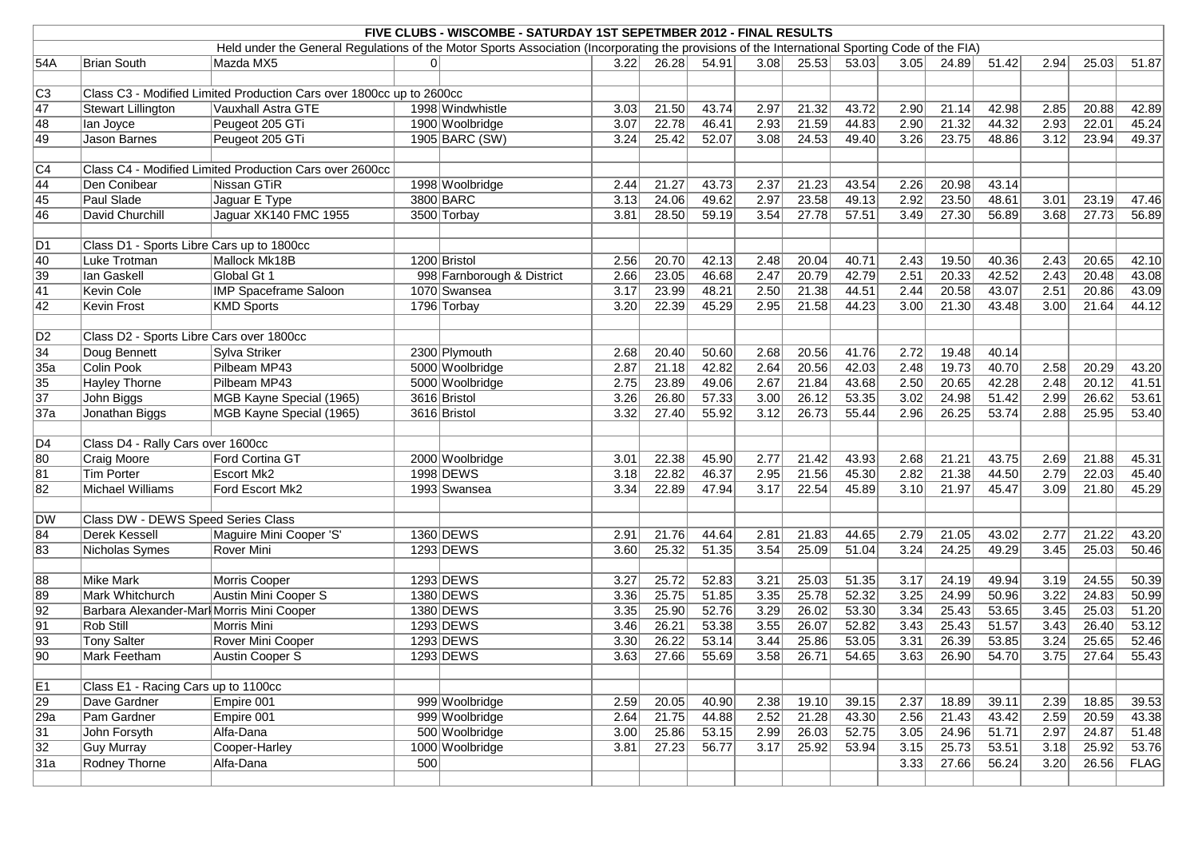|                                    | FIVE CLUBS - WISCOMBE - SATURDAY 1ST SEPETMBER 2012 - FINAL RESULTS  |                                                                                                                                                 |     |                            |      |       |                |                   |                |                |                  |                |       |              |       |       |
|------------------------------------|----------------------------------------------------------------------|-------------------------------------------------------------------------------------------------------------------------------------------------|-----|----------------------------|------|-------|----------------|-------------------|----------------|----------------|------------------|----------------|-------|--------------|-------|-------|
|                                    |                                                                      | Held under the General Regulations of the Motor Sports Association (Incorporating the provisions of the International Sporting Code of the FIA) |     |                            |      |       |                |                   |                |                |                  |                |       |              |       |       |
| 54A                                | <b>Brian South</b>                                                   | Mazda MX5                                                                                                                                       | 01  |                            | 3.22 | 26.28 | 54.91          | 3.08              | 25.53          | 53.03          | 3.05             | 24.89          | 51.42 | 2.94         | 25.03 | 51.87 |
|                                    |                                                                      |                                                                                                                                                 |     |                            |      |       |                |                   |                |                |                  |                |       |              |       |       |
| $\overline{C3}$                    | Class C3 - Modified Limited Production Cars over 1800cc up to 2600cc |                                                                                                                                                 |     |                            |      |       |                |                   |                |                |                  |                |       |              |       |       |
| $\overline{47}$                    | <b>Stewart Lillington</b>                                            | Vauxhall Astra GTE                                                                                                                              |     | 1998 Windwhistle           | 3.03 | 21.50 | 43.74          | 2.97              | 21.32          | 43.72          | 2.90             | 21.14          | 42.98 | 2.85         | 20.88 | 42.89 |
| 48                                 | lan Joyce                                                            | Peugeot 205 GTi                                                                                                                                 |     | 1900 Woolbridge            | 3.07 | 22.78 | 46.41          | 2.93              | 21.59          | 44.83          | 2.90             | 21.32          | 44.32 | 2.93         | 22.01 | 45.24 |
| 49                                 | Jason Barnes                                                         | Peugeot 205 GTi                                                                                                                                 |     | 1905 BARC (SW)             | 3.24 | 25.42 | 52.07          | 3.08              | 24.53          | 49.40          | 3.26             | 23.75          | 48.86 | 3.12         | 23.94 | 49.37 |
|                                    |                                                                      |                                                                                                                                                 |     |                            |      |       |                |                   |                |                |                  |                |       |              |       |       |
| $\overline{C4}$                    |                                                                      | Class C4 - Modified Limited Production Cars over 2600cc                                                                                         |     |                            |      |       |                |                   |                |                |                  |                |       |              |       |       |
| $\overline{44}$                    | Den Conibear                                                         | Nissan GTiR                                                                                                                                     |     | 1998 Woolbridge            | 2.44 | 21.27 | 43.73          | 2.37              | 21.23          | 43.54          | 2.26             | 20.98          | 43.14 |              |       |       |
| 45                                 | Paul Slade                                                           | Jaguar E Type                                                                                                                                   |     | 3800 BARC                  | 3.13 | 24.06 | 49.62          | 2.97              | 23.58          | 49.13          | 2.92             | 23.50          | 48.61 | 3.01         | 23.19 | 47.46 |
| 46                                 | David Churchill                                                      | Jaguar XK140 FMC 1955                                                                                                                           |     | 3500 Torbay                | 3.81 | 28.50 | 59.19          | 3.54              | 27.78          | 57.51          | 3.49             | 27.30          | 56.89 | 3.68         | 27.73 | 56.89 |
|                                    |                                                                      |                                                                                                                                                 |     |                            |      |       |                |                   |                |                |                  |                |       |              |       |       |
| D1                                 | Class D1 - Sports Libre Cars up to 1800cc                            |                                                                                                                                                 |     |                            |      |       |                |                   |                |                |                  |                |       |              |       |       |
| $\overline{40}$                    | Luke Trotman                                                         | Mallock Mk18B                                                                                                                                   |     | 1200 Bristol               | 2.56 | 20.70 | 42.13          | 2.48              | 20.04          | 40.71          | 2.43             | 19.50          | 40.36 | 2.43         | 20.65 | 42.10 |
| $\overline{39}$                    | lan Gaskell                                                          | Global Gt 1                                                                                                                                     |     | 998 Farnborough & District | 2.66 | 23.05 | 46.68          | 2.47              | 20.79          | 42.79          | 2.51             | 20.33          | 42.52 | 2.43         | 20.48 | 43.08 |
| $\overline{41}$                    | <b>Kevin Cole</b>                                                    | <b>IMP Spaceframe Saloon</b>                                                                                                                    |     | 1070 Swansea               | 3.17 | 23.99 | 48.21          | 2.50              | 21.38          | 44.51          | 2.44             | 20.58          | 43.07 | 2.51         | 20.86 | 43.09 |
| $\overline{42}$                    | <b>Kevin Frost</b>                                                   | <b>KMD Sports</b>                                                                                                                               |     | 1796 Torbay                | 3.20 | 22.39 | 45.29          | 2.95              | 21.58          | 44.23          | 3.00             | 21.30          | 43.48 | 3.00         | 21.64 | 44.12 |
|                                    |                                                                      |                                                                                                                                                 |     |                            |      |       |                |                   |                |                |                  |                |       |              |       |       |
| $\overline{D2}$                    | Class D2 - Sports Libre Cars over 1800cc                             |                                                                                                                                                 |     |                            |      |       |                |                   |                |                |                  |                |       |              |       |       |
| $\overline{34}$                    | Doug Bennett                                                         | Sylva Striker                                                                                                                                   |     | 2300 Plymouth              | 2.68 | 20.40 | 50.60          | 2.68              | 20.56          | 41.76          | 2.72             | 19.48          | 40.14 |              |       |       |
| 35a                                | <b>Colin Pook</b>                                                    | Pilbeam MP43                                                                                                                                    |     | 5000 Woolbridge            | 2.87 | 21.18 | 42.82          | 2.64              | 20.56          | 42.03          | 2.48             | 19.73          | 40.70 | 2.58         | 20.29 | 43.20 |
| 35                                 | Hayley Thorne                                                        | Pilbeam MP43                                                                                                                                    |     | 5000 Woolbridge            | 2.75 | 23.89 | 49.06          | 2.67              | 21.84          | 43.68          | 2.50             | 20.65          | 42.28 | 2.48         | 20.12 | 41.51 |
| $\overline{37}$                    | John Biggs                                                           | MGB Kayne Special (1965)                                                                                                                        |     | 3616 Bristol               | 3.26 | 26.80 | 57.33          | 3.00              | 26.12          | 53.35          | 3.02             | 24.98          | 51.42 | 2.99         | 26.62 | 53.61 |
| 37a                                | Jonathan Biggs                                                       | MGB Kayne Special (1965)                                                                                                                        |     | 3616 Bristol               | 3.32 | 27.40 | 55.92          | 3.12              | 26.73          | 55.44          | 2.96             | 26.25          | 53.74 | 2.88         | 25.95 | 53.40 |
|                                    |                                                                      |                                                                                                                                                 |     |                            |      |       |                |                   |                |                |                  |                |       |              |       |       |
| D4                                 | Class D4 - Rally Cars over 1600cc                                    |                                                                                                                                                 |     |                            |      |       |                |                   |                |                |                  |                |       |              |       |       |
| $\overline{80}$                    | Craig Moore                                                          | Ford Cortina GT                                                                                                                                 |     | 2000 Woolbridge            | 3.01 | 22.38 | 45.90          | 2.77              | 21.42          | 43.93          | 2.68             | 21.21          | 43.75 | 2.69         | 21.88 | 45.31 |
| $\overline{81}$                    | <b>Tim Porter</b>                                                    | <b>Escort Mk2</b>                                                                                                                               |     | 1998 DEWS                  | 3.18 | 22.82 | 46.37          | 2.95              | 21.56          | 45.30          | 2.82             | 21.38          | 44.50 | 2.79         | 22.03 | 45.40 |
| 82                                 | Michael Williams                                                     | Ford Escort Mk2                                                                                                                                 |     | 1993 Swansea               | 3.34 | 22.89 | 47.94          | 3.17              | 22.54          | 45.89          | 3.10             | 21.97          | 45.47 | 3.09         | 21.80 | 45.29 |
|                                    |                                                                      |                                                                                                                                                 |     |                            |      |       |                |                   |                |                |                  |                |       |              |       |       |
| DW                                 | Class DW - DEWS Speed Series Class                                   |                                                                                                                                                 |     |                            |      |       |                |                   |                |                |                  |                |       |              |       |       |
| 84                                 | Derek Kessell                                                        | Maguire Mini Cooper 'S'                                                                                                                         |     | 1360 DEWS                  | 2.91 | 21.76 | 44.64          | 2.81              | 21.83          | 44.65          | 2.79             | 21.05          | 43.02 | 2.77         | 21.22 | 43.20 |
| 83                                 | Nicholas Symes                                                       | Rover Mini                                                                                                                                      |     | 1293 DEWS                  | 3.60 | 25.32 | 51.35          | 3.54              | 25.09          | 51.04          | 3.24             | 24.25          | 49.29 | 3.45         | 25.03 | 50.46 |
|                                    |                                                                      |                                                                                                                                                 |     |                            |      |       |                |                   |                |                |                  |                |       |              |       |       |
| $\overline{88}$                    | <b>Mike Mark</b>                                                     | Morris Cooper                                                                                                                                   |     | 1293 DEWS                  | 3.27 | 25.72 | 52.83          | 3.21              |                | 51.35          | 3.17             | 24.19          | 49.94 | 3.19         | 24.55 | 50.39 |
|                                    | Mark Whitchurch                                                      | Austin Mini Cooper S                                                                                                                            |     | 1380 DEWS                  |      |       |                | 3.35              | 25.03<br>25.78 |                |                  |                | 50.96 |              |       |       |
| $\overline{89}$<br>$\overline{92}$ | Barbara Alexander-Marl Morris Mini Cooper                            |                                                                                                                                                 |     | 1380 DEWS                  | 3.36 | 25.75 | 51.85<br>52.76 | 3.29              | 26.02          | 52.32<br>53.30 | $3.25$<br>$3.34$ | 24.99<br>25.43 | 53.65 | 3.22<br>3.45 | 24.83 | 50.99 |
|                                    |                                                                      |                                                                                                                                                 |     |                            | 3.35 | 25.90 |                |                   |                |                |                  |                |       |              | 25.03 | 51.20 |
| $\overline{91}$                    | Rob Still                                                            | Morris Mini                                                                                                                                     |     | 1293 DEWS                  | 3.46 | 26.21 | 53.38          | 3.55              | 26.07          | 52.82          | 3.43             | 25.43          | 51.57 | 3.43         | 26.40 | 53.12 |
| $\sqrt{93}$                        | <b>Tony Salter</b>                                                   | Rover Mini Cooper                                                                                                                               |     | 1293 DEWS                  | 3.30 | 26.22 | 53.14          | 3.44              | 25.86          | 53.05          | 3.31             | 26.39          | 53.85 | 3.24         | 25.65 | 52.46 |
| $\overline{90}$                    | Mark Feetham                                                         | Austin Cooper S                                                                                                                                 |     | 1293 DEWS                  | 3.63 | 27.66 | 55.69          | $\overline{3.58}$ | 26.71          | 54.65          | 3.63             | 26.90          | 54.70 | 3.75         | 27.64 | 55.43 |
|                                    |                                                                      |                                                                                                                                                 |     |                            |      |       |                |                   |                |                |                  |                |       |              |       |       |
| $\overline{E1}$                    | Class E1 - Racing Cars up to 1100cc                                  |                                                                                                                                                 |     |                            |      |       |                |                   |                |                |                  |                |       |              |       |       |
| $\sqrt{29}$                        | Dave Gardner                                                         | Empire 001                                                                                                                                      |     | 999 Woolbridge             | 2.59 | 20.05 | 40.90          | 2.38              | 19.10          | 39.15          | 2.37             | 18.89          | 39.11 | 2.39         | 18.85 | 39.53 |
| $\sqrt{29a}$                       | Pam Gardner                                                          | Empire 001                                                                                                                                      |     | 999 Woolbridge             | 2.64 | 21.75 | 44.88          | 2.52              | 21.28          | 43.30          | 2.56             | 21.43          | 43.42 | 2.59         | 20.59 | 43.38 |
| $\overline{31}$                    | John Forsyth                                                         | Alfa-Dana                                                                                                                                       |     | 500 Woolbridge             | 3.00 | 25.86 | 53.15          | 2.99              | 26.03          | 52.75          | 3.05             | 24.96          | 51.71 | 2.97         | 24.87 | 51.48 |
| $\overline{32}$                    | <b>Guy Murray</b>                                                    | Cooper-Harley                                                                                                                                   |     | 1000 Woolbridge            | 3.81 | 27.23 | 56.77          | 3.17              | 25.92          | 53.94          | 3.15             | 25.73          | 53.51 | 3.18         | 25.92 | 53.76 |
| 31a                                | Rodney Thorne                                                        | Alfa-Dana                                                                                                                                       | 500 |                            |      |       |                |                   |                |                | 3.33             | 27.66          | 56.24 | 3.20         | 26.56 | FLAG  |
|                                    |                                                                      |                                                                                                                                                 |     |                            |      |       |                |                   |                |                |                  |                |       |              |       |       |